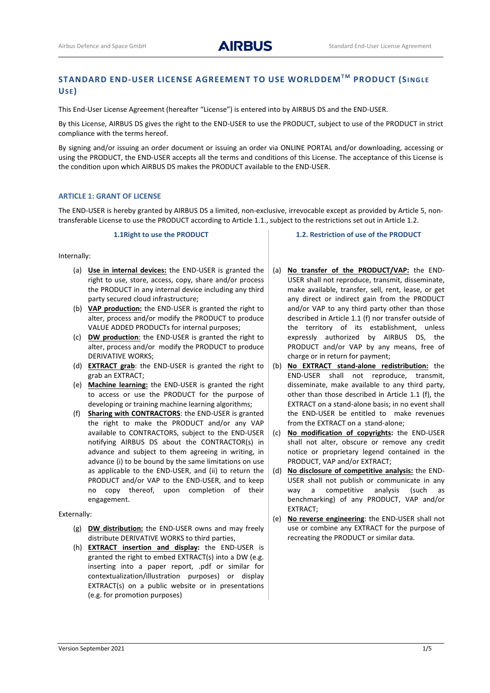# **STANDARD END-USER LICENSE AGREEMENT TO USE WORLDDEMT M PRODUCT (SI NGLE USE)**

This End-User License Agreement (hereafter "License") is entered into by AIRBUS DS and the END-USER.

By this License, AIRBUS DS gives the right to the END-USER to use the PRODUCT, subject to use of the PRODUCT in strict compliance with the terms hereof.

By signing and/or issuing an order document or issuing an order via ONLINE PORTAL and/or downloading, accessing or using the PRODUCT, the END-USER accepts all the terms and conditions of this License. The acceptance of this License is the condition upon which AIRBUS DS makes the PRODUCT available to the END-USER.

# **ARTICLE 1: GRANT OF LICENSE**

The END-USER is hereby granted by AIRBUS DS a limited, non-exclusive, irrevocable except as provided by Article 5, nontransferable License to use the PRODUCT according to Article 1.1., subject to the restrictions set out in Article 1.2.

#### **1.1Right to use the PRODUCT**

Internally:

- (a) **Use in internal devices:** the END-USER is granted the right to use, store, access, copy, share and/or process the PRODUCT in any internal device including any third party secured cloud infrastructure;
- (b) **VAP production:** the END-USER is granted the right to alter, process and/or modify the PRODUCT to produce VALUE ADDED PRODUCTs for internal purposes;
- (c) **DW production**: the END-USER is granted the right to alter, process and/or modify the PRODUCT to produce DERIVATIVE WORKS;
- (d) **EXTRACT grab**: the END-USER is granted the right to grab an EXTRACT;
- (e) **Machine learning:** the END-USER is granted the right to access or use the PRODUCT for the purpose of developing or training machine learning algorithms;
- (f) **Sharing with CONTRACTORS**: the END-USER is granted the right to make the PRODUCT and/or any VAP available to CONTRACTORS, subject to the END-USER notifying AIRBUS DS about the CONTRACTOR(s) in advance and subject to them agreeing in writing, in advance (i) to be bound by the same limitations on use as applicable to the END-USER, and (ii) to return the PRODUCT and/or VAP to the END-USER, and to keep no copy thereof, upon completion of their engagement.

# Externally:

- (g) **DW distribution:** the END-USER owns and may freely distribute DERIVATIVE WORKS to third parties,
- (h) **EXTRACT insertion and display:** the END-USER is granted the right to embed EXTRACT(s) into a DW (e.g. inserting into a paper report, .pdf or similar for contextualization/illustration purposes) or display EXTRACT(s) on a public website or in presentations (e.g. for promotion purposes)

**1.2. Restriction of use of the PRODUCT** 

- (a) **No transfer of the PRODUCT/VAP:** the END-USER shall not reproduce, transmit, disseminate, make available, transfer, sell, rent, lease, or get any direct or indirect gain from the PRODUCT and/or VAP to any third party other than those described in Article 1.1 (f) nor transfer outside of the territory of its establishment, unless expressly authorized by AIRBUS DS, the PRODUCT and/or VAP by any means, free of charge or in return for payment;
- (b) **No EXTRACT stand-alone redistribution:** the END-USER shall not reproduce, transmit, disseminate, make available to any third party, other than those described in Article 1.1 (f), the EXTRACT on a stand-alone basis; in no event shall the END-USER be entitled to make revenues from the EXTRACT on a stand-alone;
- (c) **No modification of copyrights:** the END-USER shall not alter, obscure or remove any credit notice or proprietary legend contained in the PRODUCT, VAP and/or EXTRACT;
- (d) **No disclosure of competitive analysis:** the END-USER shall not publish or communicate in any way a competitive analysis (such as benchmarking) of any PRODUCT, VAP and/or EXTRACT;
- (e) **No reverse engineering**: the END-USER shall not use or combine any EXTRACT for the purpose of recreating the PRODUCT or similar data.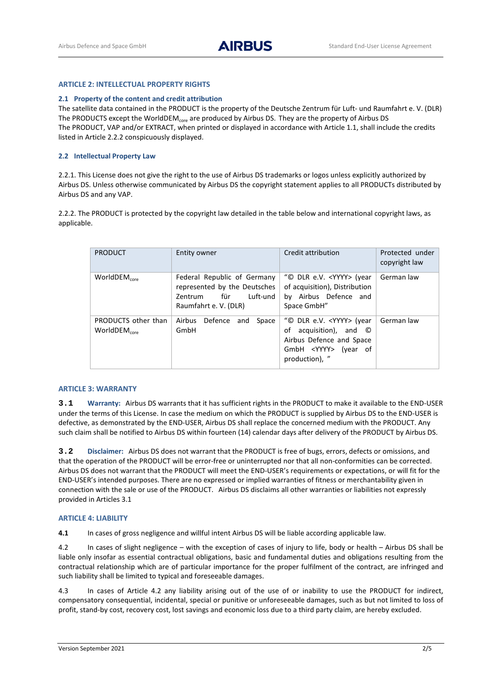# **ARTICLE 2: INTELLECTUAL PROPERTY RIGHTS**

## **2.1 Property of the content and credit attribution**

The satellite data contained in the PRODUCT is the property of the Deutsche Zentrum für Luft- und Raumfahrt e. V. (DLR) The PRODUCTS except the WorldDEM<sub>core</sub> are produced by Airbus DS. They are the property of Airbus DS The PRODUCT, VAP and/or EXTRACT, when printed or displayed in accordance with Article 1.1, shall include the credits listed in Article 2.2.2 conspicuously displayed.

# **2.2 Intellectual Property Law**

2.2.1. This License does not give the right to the use of Airbus DS trademarks or logos unless explicitly authorized by Airbus DS. Unless otherwise communicated by Airbus DS the copyright statement applies to all PRODUCTs distributed by Airbus DS and any VAP.

2.2.2. The PRODUCT is protected by the copyright law detailed in the table below and international copyright laws, as applicable.

| <b>PRODUCT</b>                            | Entity owner                                                                                                       | Credit attribution                                                                                                                             | Protected under<br>copyright law |
|-------------------------------------------|--------------------------------------------------------------------------------------------------------------------|------------------------------------------------------------------------------------------------------------------------------------------------|----------------------------------|
| WorldDEM $_{core}$                        | Federal Republic of Germany<br>represented by the Deutsches<br>für<br>Luft-und<br>Zentrum<br>Raumfahrt e. V. (DLR) | "© DLR e.V. <yyyy> (year<br/>of acquisition), Distribution<br/>by Airbus Defence and<br/>Space GmbH"</yyyy>                                    | German law                       |
| PRODUCTS other than<br>WorldDEM $_{core}$ | Airbus Defence and<br>Space<br>GmbH                                                                                | "© DLR e.V. <yyyy> (year<br/>acquisition), and ©<br/>οf<br/>Airbus Defence and Space<br/>GmbH <yyyy> (year of<br/>production), "</yyyy></yyyy> | German law                       |

#### **ARTICLE 3: WARRANTY**

**3.1 Warranty:** Airbus DS warrants that it has sufficient rights in the PRODUCT to make it available to the END-USER under the terms of this License. In case the medium on which the PRODUCT is supplied by Airbus DS to the END-USER is defective, as demonstrated by the END-USER, Airbus DS shall replace the concerned medium with the PRODUCT. Any such claim shall be notified to Airbus DS within fourteen (14) calendar days after delivery of the PRODUCT by Airbus DS.

**3.2 Disclaimer:** Airbus DS does not warrant that the PRODUCT is free of bugs, errors, defects or omissions, and that the operation of the PRODUCT will be error-free or uninterrupted nor that all non-conformities can be corrected. Airbus DS does not warrant that the PRODUCT will meet the END-USER's requirements or expectations, or will fit for the END-USER's intended purposes. There are no expressed or implied warranties of fitness or merchantability given in connection with the sale or use of the PRODUCT. Airbus DS disclaims all other warranties or liabilities not expressly provided in Articles 3.1

## **ARTICLE 4: LIABILITY**

**4.1** In cases of gross negligence and willful intent Airbus DS will be liable according applicable law.

4.2 In cases of slight negligence – with the exception of cases of injury to life, body or health – Airbus DS shall be liable only insofar as essential contractual obligations, basic and fundamental duties and obligations resulting from the contractual relationship which are of particular importance for the proper fulfilment of the contract, are infringed and such liability shall be limited to typical and foreseeable damages.

4.3 In cases of Article 4.2 any liability arising out of the use of or inability to use the PRODUCT for indirect, compensatory consequential, incidental, special or punitive or unforeseeable damages, such as but not limited to loss of profit, stand-by cost, recovery cost, lost savings and economic loss due to a third party claim, are hereby excluded.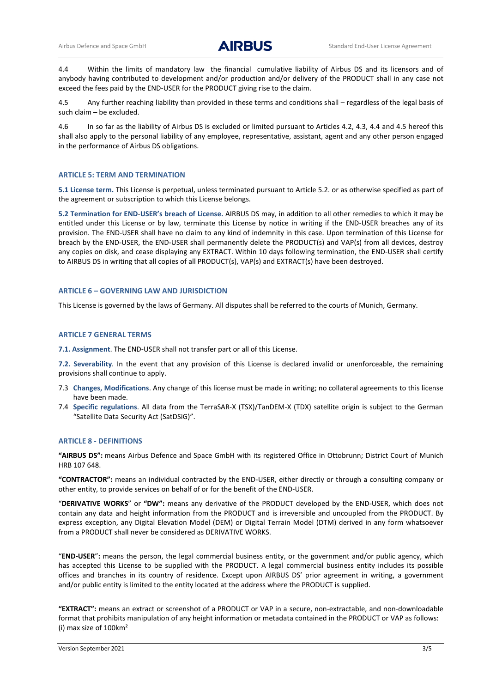4.4 Within the limits of mandatory law the financial cumulative liability of Airbus DS and its licensors and of anybody having contributed to development and/or production and/or delivery of the PRODUCT shall in any case not exceed the fees paid by the END-USER for the PRODUCT giving rise to the claim.

4.5 Any further reaching liability than provided in these terms and conditions shall – regardless of the legal basis of such claim – be excluded.

4.6 In so far as the liability of Airbus DS is excluded or limited pursuant to Articles 4.2, 4.3, 4.4 and 4.5 hereof this shall also apply to the personal liability of any employee, representative, assistant, agent and any other person engaged in the performance of Airbus DS obligations.

# **ARTICLE 5: TERM AND TERMINATION**

**5.1 License term.** This License is perpetual, unless terminated pursuant to Article 5.2. or as otherwise specified as part of the agreement or subscription to which this License belongs.

**5.2 Termination for END**-**USER's breach of License.** AIRBUS DS may, in addition to all other remedies to which it may be entitled under this License or by law, terminate this License by notice in writing if the END-USER breaches any of its provision. The END-USER shall have no claim to any kind of indemnity in this case. Upon termination of this License for breach by the END-USER, the END-USER shall permanently delete the PRODUCT(s) and VAP(s) from all devices, destroy any copies on disk, and cease displaying any EXTRACT. Within 10 days following termination, the END-USER shall certify to AIRBUS DS in writing that all copies of all PRODUCT(s), VAP(s) and EXTRACT(s) have been destroyed.

#### **ARTICLE 6 – GOVERNING LAW AND JURISDICTION**

This License is governed by the laws of Germany. All disputes shall be referred to the courts of Munich, Germany.

#### **ARTICLE 7 GENERAL TERMS**

**7.1. Assignment**. The END-USER shall not transfer part or all of this License.

**7.2. Severability**. In the event that any provision of this License is declared invalid or unenforceable, the remaining provisions shall continue to apply.

- 7.3 **Changes, Modifications**. Any change of this license must be made in writing; no collateral agreements to this license have been made.
- 7.4 **Specific regulations**. All data from the TerraSAR-X (TSX)/TanDEM-X (TDX) satellite origin is subject to the German "Satellite Data Security Act (SatDSiG)".

# **ARTICLE 8 - DEFINITIONS**

**"AIRBUS DS":** means Airbus Defence and Space GmbH with its registered Office in Ottobrunn; District Court of Munich HRB 107 648.

**"CONTRACTOR":** means an individual contracted by the END-USER, either directly or through a consulting company or other entity, to provide services on behalf of or for the benefit of the END-USER.

"**DERIVATIVE WORKS**" or **"DW":** means any derivative of the PRODUCT developed by the END-USER, which does not contain any data and height information from the PRODUCT and is irreversible and uncoupled from the PRODUCT. By express exception, any Digital Elevation Model (DEM) or Digital Terrain Model (DTM) derived in any form whatsoever from a PRODUCT shall never be considered as DERIVATIVE WORKS.

"**END-USER**"**:** means the person, the legal commercial business entity, or the government and/or public agency, which has accepted this License to be supplied with the PRODUCT. A legal commercial business entity includes its possible offices and branches in its country of residence. Except upon AIRBUS DS' prior agreement in writing, a government and/or public entity is limited to the entity located at the address where the PRODUCT is supplied.

**"EXTRACT":** means an extract or screenshot of a PRODUCT or VAP in a secure, non-extractable, and non-downloadable format that prohibits manipulation of any height information or metadata contained in the PRODUCT or VAP as follows: (i) max size of 100km²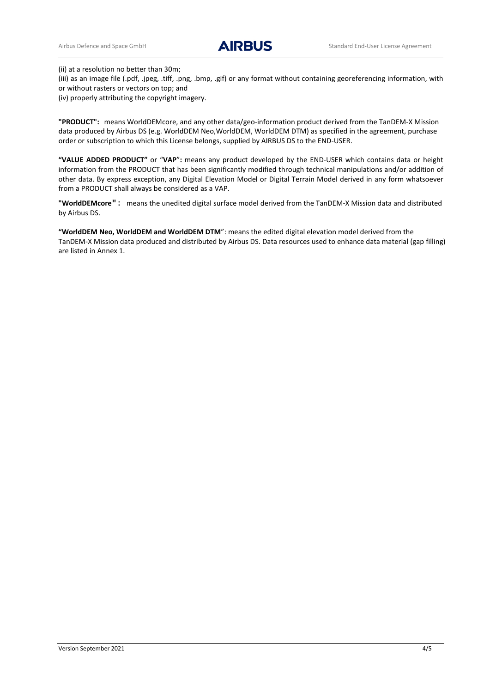(ii) at a resolution no better than 30m;

(iii) as an image file (.pdf, .jpeg, .tiff, .png, .bmp, .gif) or any format without containing georeferencing information, with or without rasters or vectors on top; and

(iv) properly attributing the copyright imagery.

**"PRODUCT":** means WorldDEMcore, and any other data/geo-information product derived from the TanDEM-X Mission data produced by Airbus DS (e.g. WorldDEM Neo,WorldDEM, WorldDEM DTM) as specified in the agreement, purchase order or subscription to which this License belongs, supplied by AIRBUS DS to the END-USER.

**"VALUE ADDED PRODUCT"** or "**VAP**"**:** means any product developed by the END-USER which contains data or height information from the PRODUCT that has been significantly modified through technical manipulations and/or addition of other data. By express exception, any Digital Elevation Model or Digital Terrain Model derived in any form whatsoever from a PRODUCT shall always be considered as a VAP.

**"WorldDEMcore"**: means the unedited digital surface model derived from the TanDEM-X Mission data and distributed by Airbus DS.

**"WorldDEM Neo, WorldDEM and WorldDEM DTM**": means the edited digital elevation model derived from the TanDEM-X Mission data produced and distributed by Airbus DS. Data resources used to enhance data material (gap filling) are listed in Annex 1.